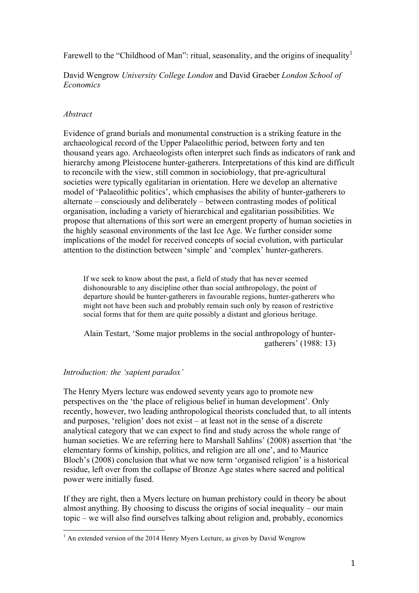Farewell to the "Childhood of Man": ritual, seasonality, and the origins of inequality<sup>1</sup>

David Wengrow *University College London* and David Graeber *London School of Economics*

# *Abstract*

Evidence of grand burials and monumental construction is a striking feature in the archaeological record of the Upper Palaeolithic period, between forty and ten thousand years ago. Archaeologists often interpret such finds as indicators of rank and hierarchy among Pleistocene hunter-gatherers. Interpretations of this kind are difficult to reconcile with the view, still common in sociobiology, that pre-agricultural societies were typically egalitarian in orientation. Here we develop an alternative model of 'Palaeolithic politics', which emphasises the ability of hunter-gatherers to alternate – consciously and deliberately – between contrasting modes of political organisation, including a variety of hierarchical and egalitarian possibilities. We propose that alternations of this sort were an emergent property of human societies in the highly seasonal environments of the last Ice Age. We further consider some implications of the model for received concepts of social evolution, with particular attention to the distinction between 'simple' and 'complex' hunter-gatherers.

If we seek to know about the past, a field of study that has never seemed dishonourable to any discipline other than social anthropology, the point of departure should be hunter-gatherers in favourable regions, hunter-gatherers who might not have been such and probably remain such only by reason of restrictive social forms that for them are quite possibly a distant and glorious heritage.

Alain Testart, 'Some major problems in the social anthropology of huntergatherers' (1988: 13)

# *Introduction: the 'sapient paradox'*

The Henry Myers lecture was endowed seventy years ago to promote new perspectives on the 'the place of religious belief in human development'. Only recently, however, two leading anthropological theorists concluded that, to all intents and purposes, 'religion' does not exist – at least not in the sense of a discrete analytical category that we can expect to find and study across the whole range of human societies. We are referring here to Marshall Sahlins' (2008) assertion that 'the elementary forms of kinship, politics, and religion are all one', and to Maurice Bloch's (2008) conclusion that what we now term 'organised religion' is a historical residue, left over from the collapse of Bronze Age states where sacred and political power were initially fused.

If they are right, then a Myers lecture on human prehistory could in theory be about almost anything. By choosing to discuss the origins of social inequality – our main topic – we will also find ourselves talking about religion and, probably, economics

 $1$  An extended version of the 2014 Henry Myers Lecture, as given by David Wengrow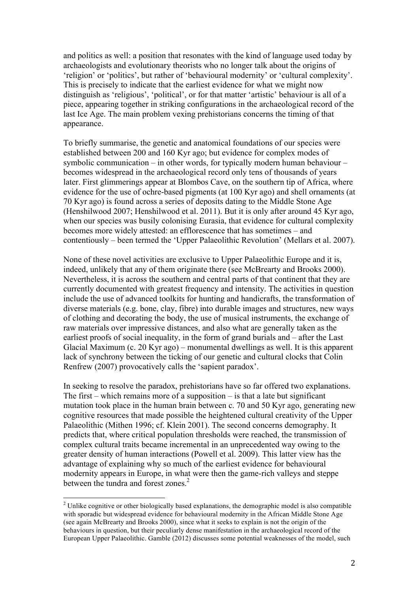and politics as well: a position that resonates with the kind of language used today by archaeologists and evolutionary theorists who no longer talk about the origins of 'religion' or 'politics', but rather of 'behavioural modernity' or 'cultural complexity'. This is precisely to indicate that the earliest evidence for what we might now distinguish as 'religious', 'political', or for that matter 'artistic' behaviour is all of a piece, appearing together in striking configurations in the archaeological record of the last Ice Age. The main problem vexing prehistorians concerns the timing of that appearance.

To briefly summarise, the genetic and anatomical foundations of our species were established between 200 and 160 Kyr ago; but evidence for complex modes of symbolic communication – in other words, for typically modern human behaviour – becomes widespread in the archaeological record only tens of thousands of years later. First glimmerings appear at Blombos Cave, on the southern tip of Africa, where evidence for the use of ochre-based pigments (at 100 Kyr ago) and shell ornaments (at 70 Kyr ago) is found across a series of deposits dating to the Middle Stone Age (Henshilwood 2007; Henshilwood et al. 2011). But it is only after around 45 Kyr ago, when our species was busily colonising Eurasia, that evidence for cultural complexity becomes more widely attested: an efflorescence that has sometimes – and contentiously – been termed the 'Upper Palaeolithic Revolution' (Mellars et al. 2007).

None of these novel activities are exclusive to Upper Palaeolithic Europe and it is, indeed, unlikely that any of them originate there (see McBrearty and Brooks 2000). Nevertheless, it is across the southern and central parts of that continent that they are currently documented with greatest frequency and intensity. The activities in question include the use of advanced toolkits for hunting and handicrafts, the transformation of diverse materials (e.g. bone, clay, fibre) into durable images and structures, new ways of clothing and decorating the body, the use of musical instruments, the exchange of raw materials over impressive distances, and also what are generally taken as the earliest proofs of social inequality, in the form of grand burials and – after the Last Glacial Maximum (c. 20 Kyr ago) – monumental dwellings as well. It is this apparent lack of synchrony between the ticking of our genetic and cultural clocks that Colin Renfrew (2007) provocatively calls the 'sapient paradox'.

In seeking to resolve the paradox, prehistorians have so far offered two explanations. The first – which remains more of a supposition – is that a late but significant mutation took place in the human brain between c. 70 and 50 Kyr ago, generating new cognitive resources that made possible the heightened cultural creativity of the Upper Palaeolithic (Mithen 1996; cf. Klein 2001). The second concerns demography. It predicts that, where critical population thresholds were reached, the transmission of complex cultural traits became incremental in an unprecedented way owing to the greater density of human interactions (Powell et al. 2009). This latter view has the advantage of explaining why so much of the earliest evidence for behavioural modernity appears in Europe, in what were then the game-rich valleys and steppe between the tundra and forest zones.<sup>2</sup>

<sup>&</sup>lt;sup>2</sup> Unlike cognitive or other biologically based explanations, the demographic model is also compatible with sporadic but widespread evidence for behavioural modernity in the African Middle Stone Age (see again McBrearty and Brooks 2000), since what it seeks to explain is not the origin of the behaviours in question, but their peculiarly dense manifestation in the archaeological record of the European Upper Palaeolithic. Gamble (2012) discusses some potential weaknesses of the model, such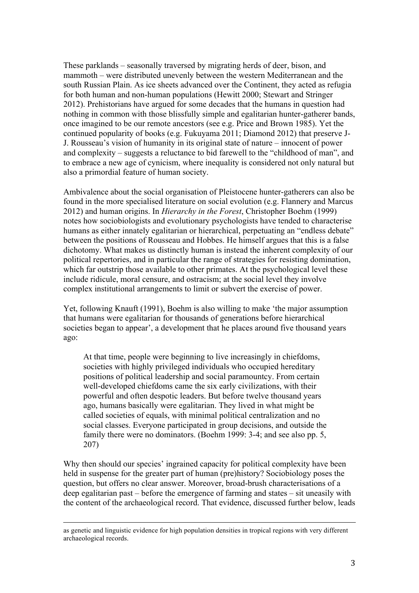These parklands – seasonally traversed by migrating herds of deer, bison, and mammoth – were distributed unevenly between the western Mediterranean and the south Russian Plain. As ice sheets advanced over the Continent, they acted as refugia for both human and non-human populations (Hewitt 2000; Stewart and Stringer 2012). Prehistorians have argued for some decades that the humans in question had nothing in common with those blissfully simple and egalitarian hunter-gatherer bands, once imagined to be our remote ancestors (see e.g. Price and Brown 1985). Yet the continued popularity of books (e.g. Fukuyama 2011; Diamond 2012) that preserve J-J. Rousseau's vision of humanity in its original state of nature – innocent of power and complexity – suggests a reluctance to bid farewell to the "childhood of man", and to embrace a new age of cynicism, where inequality is considered not only natural but also a primordial feature of human society.

Ambivalence about the social organisation of Pleistocene hunter-gatherers can also be found in the more specialised literature on social evolution (e.g. Flannery and Marcus 2012) and human origins. In *Hierarchy in the Forest*, Christopher Boehm (1999) notes how sociobiologists and evolutionary psychologists have tended to characterise humans as either innately egalitarian or hierarchical, perpetuating an "endless debate" between the positions of Rousseau and Hobbes. He himself argues that this is a false dichotomy. What makes us distinctly human is instead the inherent complexity of our political repertories, and in particular the range of strategies for resisting domination, which far outstrip those available to other primates. At the psychological level these include ridicule, moral censure, and ostracism; at the social level they involve complex institutional arrangements to limit or subvert the exercise of power.

Yet, following Knauft (1991), Boehm is also willing to make 'the major assumption that humans were egalitarian for thousands of generations before hierarchical societies began to appear', a development that he places around five thousand years ago:

At that time, people were beginning to live increasingly in chiefdoms, societies with highly privileged individuals who occupied hereditary positions of political leadership and social paramountcy. From certain well-developed chiefdoms came the six early civilizations, with their powerful and often despotic leaders. But before twelve thousand years ago, humans basically were egalitarian. They lived in what might be called societies of equals, with minimal political centralization and no social classes. Everyone participated in group decisions, and outside the family there were no dominators. (Boehm 1999: 3-4; and see also pp. 5, 207)

Why then should our species' ingrained capacity for political complexity have been held in suspense for the greater part of human (pre)history? Sociobiology poses the question, but offers no clear answer. Moreover, broad-brush characterisations of a deep egalitarian past – before the emergence of farming and states – sit uneasily with the content of the archaeological record. That evidence, discussed further below, leads

<u> 1989 - Andrea Santa Alemania, poeta esperanto-se especial de la propia de la propia de la propia de la propia</u>

as genetic and linguistic evidence for high population densities in tropical regions with very different archaeological records.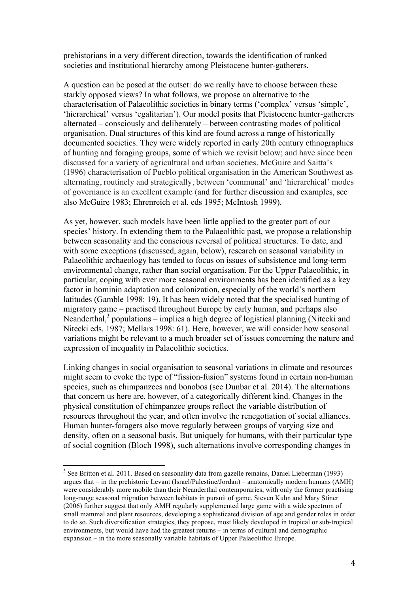prehistorians in a very different direction, towards the identification of ranked societies and institutional hierarchy among Pleistocene hunter-gatherers.

A question can be posed at the outset: do we really have to choose between these starkly opposed views? In what follows, we propose an alternative to the characterisation of Palaeolithic societies in binary terms ('complex' versus 'simple', 'hierarchical' versus 'egalitarian'). Our model posits that Pleistocene hunter-gatherers alternated – consciously and deliberately – between contrasting modes of political organisation. Dual structures of this kind are found across a range of historically documented societies. They were widely reported in early 20th century ethnographies of hunting and foraging groups, some of which we revisit below; and have since been discussed for a variety of agricultural and urban societies. McGuire and Saitta's (1996) characterisation of Pueblo political organisation in the American Southwest as alternating, routinely and strategically, between 'communal' and 'hierarchical' modes of governance is an excellent example (and for further discussion and examples, see also McGuire 1983; Ehrenreich et al. eds 1995; McIntosh 1999).

As yet, however, such models have been little applied to the greater part of our species' history. In extending them to the Palaeolithic past, we propose a relationship between seasonality and the conscious reversal of political structures. To date, and with some exceptions (discussed, again, below), research on seasonal variability in Palaeolithic archaeology has tended to focus on issues of subsistence and long-term environmental change, rather than social organisation. For the Upper Palaeolithic, in particular, coping with ever more seasonal environments has been identified as a key factor in hominin adaptation and colonization, especially of the world's northern latitudes (Gamble 1998: 19). It has been widely noted that the specialised hunting of migratory game – practised throughout Europe by early human, and perhaps also Neanderthal,<sup>3</sup> populations – implies a high degree of logistical planning (Nitecki and Nitecki eds. 1987; Mellars 1998: 61). Here, however, we will consider how seasonal variations might be relevant to a much broader set of issues concerning the nature and expression of inequality in Palaeolithic societies.

Linking changes in social organisation to seasonal variations in climate and resources might seem to evoke the type of "fission-fusion" systems found in certain non-human species, such as chimpanzees and bonobos (see Dunbar et al. 2014). The alternations that concern us here are, however, of a categorically different kind. Changes in the physical constitution of chimpanzee groups reflect the variable distribution of resources throughout the year, and often involve the renegotiation of social alliances. Human hunter-foragers also move regularly between groups of varying size and density, often on a seasonal basis. But uniquely for humans, with their particular type of social cognition (Bloch 1998), such alternations involve corresponding changes in

<sup>&</sup>lt;sup>3</sup> See Britton et al. 2011. Based on seasonality data from gazelle remains, Daniel Lieberman (1993) argues that – in the prehistoric Levant (Israel/Palestine/Jordan) – anatomically modern humans (AMH) were considerably more mobile than their Neanderthal contemporaries, with only the former practising long-range seasonal migration between habitats in pursuit of game. Steven Kuhn and Mary Stiner (2006) further suggest that only AMH regularly supplemented large game with a wide spectrum of small mammal and plant resources, developing a sophisticated division of age and gender roles in order to do so. Such diversification strategies, they propose, most likely developed in tropical or sub-tropical environments, but would have had the greatest returns – in terms of cultural and demographic expansion – in the more seasonally variable habitats of Upper Palaeolithic Europe.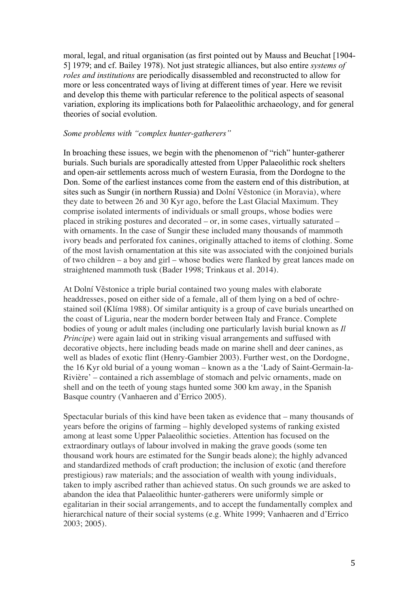moral, legal, and ritual organisation (as first pointed out by Mauss and Beuchat [1904- 5] 1979; and cf. Bailey 1978). Not just strategic alliances, but also entire *systems of roles and institutions* are periodically disassembled and reconstructed to allow for more or less concentrated ways of living at different times of year. Here we revisit and develop this theme with particular reference to the political aspects of seasonal variation, exploring its implications both for Palaeolithic archaeology, and for general theories of social evolution.

#### *Some problems with "complex hunter-gatherers"*

In broaching these issues, we begin with the phenomenon of "rich" hunter-gatherer burials. Such burials are sporadically attested from Upper Palaeolithic rock shelters and open-air settlements across much of western Eurasia, from the Dordogne to the Don. Some of the earliest instances come from the eastern end of this distribution, at sites such as Sungir (in northern Russia) and Dolní Věstonice (in Moravia), where they date to between 26 and 30 Kyr ago, before the Last Glacial Maximum. They comprise isolated interments of individuals or small groups, whose bodies were placed in striking postures and decorated – or, in some cases, virtually saturated – with ornaments. In the case of Sungir these included many thousands of mammoth ivory beads and perforated fox canines, originally attached to items of clothing. Some of the most lavish ornamentation at this site was associated with the conjoined burials of two children – a boy and girl – whose bodies were flanked by great lances made on straightened mammoth tusk (Bader 1998; Trinkaus et al. 2014).

At Dolní Věstonice a triple burial contained two young males with elaborate headdresses, posed on either side of a female, all of them lying on a bed of ochrestained soil (Klíma 1988). Of similar antiquity is a group of cave burials unearthed on the coast of Liguria, near the modern border between Italy and France. Complete bodies of young or adult males (including one particularly lavish burial known as *Il Principe*) were again laid out in striking visual arrangements and suffused with decorative objects, here including beads made on marine shell and deer canines, as well as blades of exotic flint (Henry-Gambier 2003). Further west, on the Dordogne, the 16 Kyr old burial of a young woman – known as a the 'Lady of Saint-Germain-la-Rivière' – contained a rich assemblage of stomach and pelvic ornaments, made on shell and on the teeth of young stags hunted some 300 km away, in the Spanish Basque country (Vanhaeren and d'Errico 2005).

Spectacular burials of this kind have been taken as evidence that – many thousands of years before the origins of farming – highly developed systems of ranking existed among at least some Upper Palaeolithic societies. Attention has focused on the extraordinary outlays of labour involved in making the grave goods (some ten thousand work hours are estimated for the Sungir beads alone); the highly advanced and standardized methods of craft production; the inclusion of exotic (and therefore prestigious) raw materials; and the association of wealth with young individuals, taken to imply ascribed rather than achieved status. On such grounds we are asked to abandon the idea that Palaeolithic hunter-gatherers were uniformly simple or egalitarian in their social arrangements, and to accept the fundamentally complex and hierarchical nature of their social systems (e.g. White 1999; Vanhaeren and d'Errico 2003; 2005).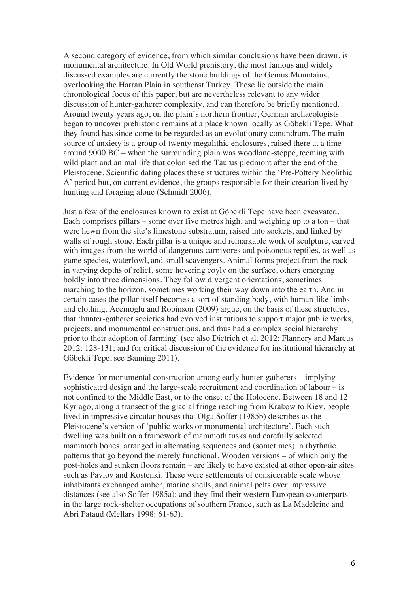A second category of evidence, from which similar conclusions have been drawn, is monumental architecture. In Old World prehistory, the most famous and widely discussed examples are currently the stone buildings of the Gemus Mountains, overlooking the Harran Plain in southeast Turkey. These lie outside the main chronological focus of this paper, but are nevertheless relevant to any wider discussion of hunter-gatherer complexity, and can therefore be briefly mentioned. Around twenty years ago, on the plain's northern frontier, German archaeologists began to uncover prehistoric remains at a place known locally as Göbekli Tepe. What they found has since come to be regarded as an evolutionary conundrum. The main source of anxiety is a group of twenty megalithic enclosures, raised there at a time – around 9000 BC – when the surrounding plain was woodland-steppe, teeming with wild plant and animal life that colonised the Taurus piedmont after the end of the Pleistocene. Scientific dating places these structures within the 'Pre-Pottery Neolithic A' period but, on current evidence, the groups responsible for their creation lived by hunting and foraging alone (Schmidt 2006).

Just a few of the enclosures known to exist at Göbekli Tepe have been excavated. Each comprises pillars – some over five metres high, and weighing up to a ton – that were hewn from the site's limestone substratum, raised into sockets, and linked by walls of rough stone. Each pillar is a unique and remarkable work of sculpture, carved with images from the world of dangerous carnivores and poisonous reptiles, as well as game species, waterfowl, and small scavengers. Animal forms project from the rock in varying depths of relief, some hovering coyly on the surface, others emerging boldly into three dimensions. They follow divergent orientations, sometimes marching to the horizon, sometimes working their way down into the earth. And in certain cases the pillar itself becomes a sort of standing body, with human-like limbs and clothing. Acemoglu and Robinson (2009) argue, on the basis of these structures, that 'hunter-gatherer societies had evolved institutions to support major public works, projects, and monumental constructions, and thus had a complex social hierarchy prior to their adoption of farming' (see also Dietrich et al. 2012; Flannery and Marcus 2012: 128-131; and for critical discussion of the evidence for institutional hierarchy at Göbekli Tepe, see Banning 2011).

Evidence for monumental construction among early hunter-gatherers – implying sophisticated design and the large-scale recruitment and coordination of labour – is not confined to the Middle East, or to the onset of the Holocene. Between 18 and 12 Kyr ago, along a transect of the glacial fringe reaching from Krakow to Kiev, people lived in impressive circular houses that Olga Soffer (1985b) describes as the Pleistocene's version of 'public works or monumental architecture'. Each such dwelling was built on a framework of mammoth tusks and carefully selected mammoth bones, arranged in alternating sequences and (sometimes) in rhythmic patterns that go beyond the merely functional. Wooden versions – of which only the post-holes and sunken floors remain – are likely to have existed at other open-air sites such as Pavlov and Kostenki. These were settlements of considerable scale whose inhabitants exchanged amber, marine shells, and animal pelts over impressive distances (see also Soffer 1985a); and they find their western European counterparts in the large rock-shelter occupations of southern France, such as La Madeleine and Abri Pataud (Mellars 1998: 61-63).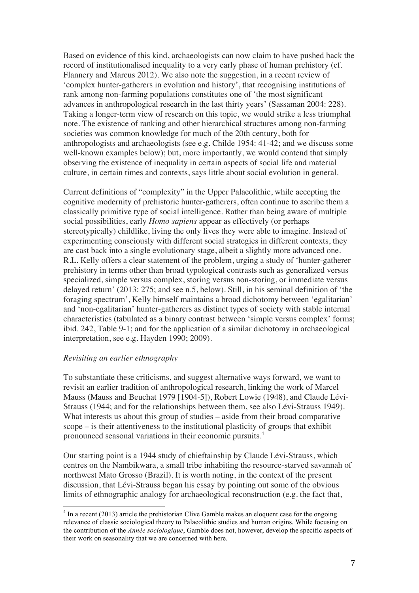Based on evidence of this kind, archaeologists can now claim to have pushed back the record of institutionalised inequality to a very early phase of human prehistory (cf. Flannery and Marcus 2012). We also note the suggestion, in a recent review of 'complex hunter-gatherers in evolution and history', that recognising institutions of rank among non-farming populations constitutes one of 'the most significant advances in anthropological research in the last thirty years' (Sassaman 2004: 228). Taking a longer-term view of research on this topic, we would strike a less triumphal note. The existence of ranking and other hierarchical structures among non-farming societies was common knowledge for much of the 20th century, both for anthropologists and archaeologists (see e.g. Childe 1954: 41-42; and we discuss some well-known examples below); but, more importantly, we would contend that simply observing the existence of inequality in certain aspects of social life and material culture, in certain times and contexts, says little about social evolution in general.

Current definitions of "complexity" in the Upper Palaeolithic, while accepting the cognitive modernity of prehistoric hunter-gatherers, often continue to ascribe them a classically primitive type of social intelligence. Rather than being aware of multiple social possibilities, early *Homo sapiens* appear as effectively (or perhaps stereotypically) childlike, living the only lives they were able to imagine. Instead of experimenting consciously with different social strategies in different contexts, they are cast back into a single evolutionary stage, albeit a slightly more advanced one. R.L. Kelly offers a clear statement of the problem, urging a study of 'hunter-gatherer prehistory in terms other than broad typological contrasts such as generalized versus specialized, simple versus complex, storing versus non-storing, or immediate versus delayed return' (2013: 275; and see n.5, below). Still, in his seminal definition of 'the foraging spectrum', Kelly himself maintains a broad dichotomy between 'egalitarian' and 'non-egalitarian' hunter-gatherers as distinct types of society with stable internal characteristics (tabulated as a binary contrast between 'simple versus complex' forms; ibid. 242, Table 9-1; and for the application of a similar dichotomy in archaeological interpretation, see e.g. Hayden 1990; 2009).

#### *Revisiting an earlier ethnography*

To substantiate these criticisms, and suggest alternative ways forward, we want to revisit an earlier tradition of anthropological research, linking the work of Marcel Mauss (Mauss and Beuchat 1979 [1904-5]), Robert Lowie (1948), and Claude Lévi-Strauss (1944; and for the relationships between them, see also Lévi-Strauss 1949). What interests us about this group of studies – aside from their broad comparative scope – is their attentiveness to the institutional plasticity of groups that exhibit pronounced seasonal variations in their economic pursuits.4

Our starting point is a 1944 study of chieftainship by Claude Lévi-Strauss, which centres on the Nambikwara, a small tribe inhabiting the resource-starved savannah of northwest Mato Grosso (Brazil). It is worth noting, in the context of the present discussion, that Lévi-Strauss began his essay by pointing out some of the obvious limits of ethnographic analogy for archaeological reconstruction (e.g. the fact that,

 <sup>4</sup> In a recent (2013) article the prehistorian Clive Gamble makes an eloquent case for the ongoing relevance of classic sociological theory to Palaeolithic studies and human origins. While focusing on the contribution of the *Année sociologique*, Gamble does not, however, develop the specific aspects of their work on seasonality that we are concerned with here.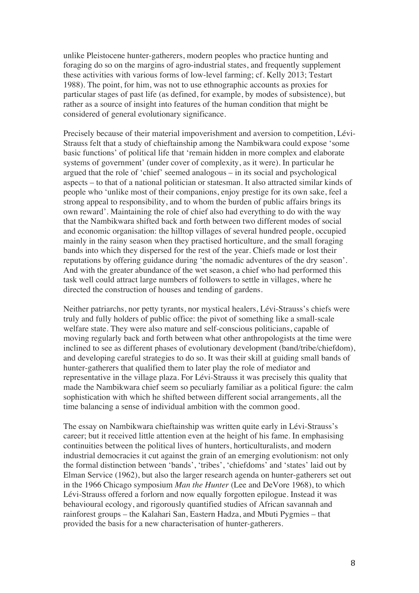unlike Pleistocene hunter-gatherers, modern peoples who practice hunting and foraging do so on the margins of agro-industrial states, and frequently supplement these activities with various forms of low-level farming; cf. Kelly 2013; Testart 1988). The point, for him, was not to use ethnographic accounts as proxies for particular stages of past life (as defined, for example, by modes of subsistence), but rather as a source of insight into features of the human condition that might be considered of general evolutionary significance.

Precisely because of their material impoverishment and aversion to competition, Lévi-Strauss felt that a study of chieftainship among the Nambikwara could expose 'some basic functions' of political life that 'remain hidden in more complex and elaborate systems of government' (under cover of complexity, as it were). In particular he argued that the role of 'chief' seemed analogous – in its social and psychological aspects – to that of a national politician or statesman. It also attracted similar kinds of people who 'unlike most of their companions, enjoy prestige for its own sake, feel a strong appeal to responsibility, and to whom the burden of public affairs brings its own reward'. Maintaining the role of chief also had everything to do with the way that the Nambikwara shifted back and forth between two different modes of social and economic organisation: the hilltop villages of several hundred people, occupied mainly in the rainy season when they practised horticulture, and the small foraging bands into which they dispersed for the rest of the year. Chiefs made or lost their reputations by offering guidance during 'the nomadic adventures of the dry season'. And with the greater abundance of the wet season, a chief who had performed this task well could attract large numbers of followers to settle in villages, where he directed the construction of houses and tending of gardens.

Neither patriarchs, nor petty tyrants, nor mystical healers, Lévi-Strauss's chiefs were truly and fully holders of public office: the pivot of something like a small-scale welfare state. They were also mature and self-conscious politicians, capable of moving regularly back and forth between what other anthropologists at the time were inclined to see as different phases of evolutionary development (band/tribe/chiefdom), and developing careful strategies to do so. It was their skill at guiding small bands of hunter-gatherers that qualified them to later play the role of mediator and representative in the village plaza. For Lévi-Strauss it was precisely this quality that made the Nambikwara chief seem so peculiarly familiar as a political figure: the calm sophistication with which he shifted between different social arrangements, all the time balancing a sense of individual ambition with the common good.

The essay on Nambikwara chieftainship was written quite early in Lévi-Strauss's career; but it received little attention even at the height of his fame. In emphasising continuities between the political lives of hunters, horticulturalists, and modern industrial democracies it cut against the grain of an emerging evolutionism: not only the formal distinction between 'bands', 'tribes', 'chiefdoms' and 'states' laid out by Elman Service (1962), but also the larger research agenda on hunter-gatherers set out in the 1966 Chicago symposium *Man the Hunter* (Lee and DeVore 1968), to which Lévi-Strauss offered a forlorn and now equally forgotten epilogue. Instead it was behavioural ecology, and rigorously quantified studies of African savannah and rainforest groups – the Kalahari San, Eastern Hadza, and Mbuti Pygmies – that provided the basis for a new characterisation of hunter-gatherers.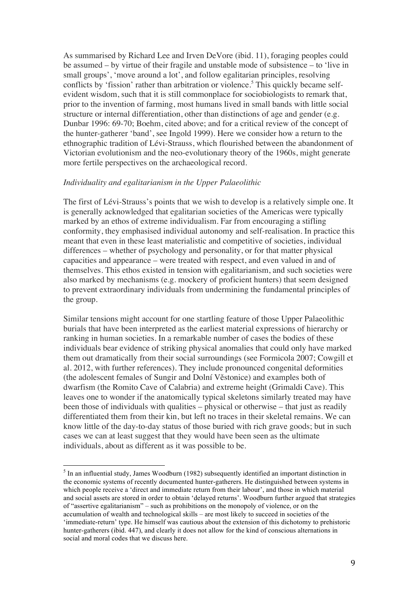As summarised by Richard Lee and Irven DeVore (ibid. 11), foraging peoples could be assumed – by virtue of their fragile and unstable mode of subsistence – to 'live in small groups', 'move around a lot', and follow egalitarian principles, resolving conflicts by 'fission' rather than arbitration or violence. <sup>5</sup> This quickly became selfevident wisdom, such that it is still commonplace for sociobiologists to remark that, prior to the invention of farming, most humans lived in small bands with little social structure or internal differentiation, other than distinctions of age and gender (e.g. Dunbar 1996: 69-70; Boehm, cited above; and for a critical review of the concept of the hunter-gatherer 'band', see Ingold 1999). Here we consider how a return to the ethnographic tradition of Lévi-Strauss, which flourished between the abandonment of Victorian evolutionism and the neo-evolutionary theory of the 1960s, might generate more fertile perspectives on the archaeological record.

## *Individuality and egalitarianism in the Upper Palaeolithic*

The first of Lévi-Strauss's points that we wish to develop is a relatively simple one. It is generally acknowledged that egalitarian societies of the Americas were typically marked by an ethos of extreme individualism. Far from encouraging a stifling conformity, they emphasised individual autonomy and self-realisation. In practice this meant that even in these least materialistic and competitive of societies, individual differences – whether of psychology and personality, or for that matter physical capacities and appearance – were treated with respect, and even valued in and of themselves. This ethos existed in tension with egalitarianism, and such societies were also marked by mechanisms (e.g. mockery of proficient hunters) that seem designed to prevent extraordinary individuals from undermining the fundamental principles of the group.

Similar tensions might account for one startling feature of those Upper Palaeolithic burials that have been interpreted as the earliest material expressions of hierarchy or ranking in human societies. In a remarkable number of cases the bodies of these individuals bear evidence of striking physical anomalies that could only have marked them out dramatically from their social surroundings (see Formicola 2007; Cowgill et al. 2012, with further references). They include pronounced congenital deformities (the adolescent females of Sungir and Dolní Věstonice) and examples both of dwarfism (the Romito Cave of Calabria) and extreme height (Grimaldi Cave). This leaves one to wonder if the anatomically typical skeletons similarly treated may have been those of individuals with qualities – physical or otherwise – that just as readily differentiated them from their kin, but left no traces in their skeletal remains. We can know little of the day-to-day status of those buried with rich grave goods; but in such cases we can at least suggest that they would have been seen as the ultimate individuals, about as different as it was possible to be.

 $<sup>5</sup>$  In an influential study, James Woodburn (1982) subsequently identified an important distinction in</sup> the economic systems of recently documented hunter-gatherers. He distinguished between systems in which people receive a 'direct and immediate return from their labour', and those in which material and social assets are stored in order to obtain 'delayed returns'. Woodburn further argued that strategies of "assertive egalitarianism" – such as prohibitions on the monopoly of violence, or on the accumulation of wealth and technological skills – are most likely to succeed in societies of the 'immediate-return' type. He himself was cautious about the extension of this dichotomy to prehistoric hunter-gatherers (ibid. 447), and clearly it does not allow for the kind of conscious alternations in social and moral codes that we discuss here.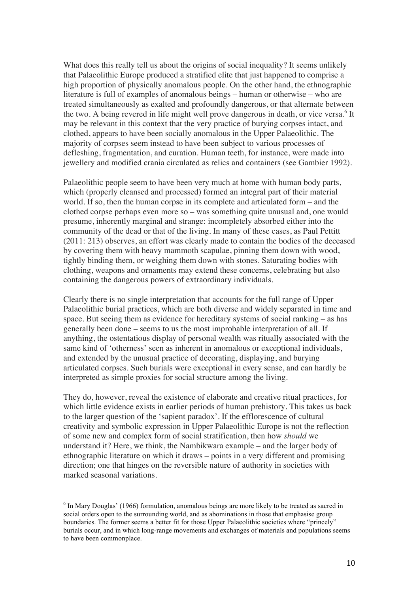What does this really tell us about the origins of social inequality? It seems unlikely that Palaeolithic Europe produced a stratified elite that just happened to comprise a high proportion of physically anomalous people. On the other hand, the ethnographic literature is full of examples of anomalous beings – human or otherwise – who are treated simultaneously as exalted and profoundly dangerous, or that alternate between the two. A being revered in life might well prove dangerous in death, or vice versa.<sup>6</sup> It may be relevant in this context that the very practice of burying corpses intact, and clothed, appears to have been socially anomalous in the Upper Palaeolithic. The majority of corpses seem instead to have been subject to various processes of defleshing, fragmentation, and curation. Human teeth, for instance, were made into jewellery and modified crania circulated as relics and containers (see Gambier 1992).

Palaeolithic people seem to have been very much at home with human body parts, which (properly cleansed and processed) formed an integral part of their material world. If so, then the human corpse in its complete and articulated form – and the clothed corpse perhaps even more so – was something quite unusual and, one would presume, inherently marginal and strange: incompletely absorbed either into the community of the dead or that of the living. In many of these cases, as Paul Pettitt (2011: 213) observes, an effort was clearly made to contain the bodies of the deceased by covering them with heavy mammoth scapulae, pinning them down with wood, tightly binding them, or weighing them down with stones. Saturating bodies with clothing, weapons and ornaments may extend these concerns, celebrating but also containing the dangerous powers of extraordinary individuals.

Clearly there is no single interpretation that accounts for the full range of Upper Palaeolithic burial practices, which are both diverse and widely separated in time and space. But seeing them as evidence for hereditary systems of social ranking – as has generally been done – seems to us the most improbable interpretation of all. If anything, the ostentatious display of personal wealth was ritually associated with the same kind of 'otherness' seen as inherent in anomalous or exceptional individuals, and extended by the unusual practice of decorating, displaying, and burying articulated corpses. Such burials were exceptional in every sense, and can hardly be interpreted as simple proxies for social structure among the living.

They do, however, reveal the existence of elaborate and creative ritual practices, for which little evidence exists in earlier periods of human prehistory. This takes us back to the larger question of the 'sapient paradox'. If the efflorescence of cultural creativity and symbolic expression in Upper Palaeolithic Europe is not the reflection of some new and complex form of social stratification, then how *should* we understand it? Here, we think, the Nambikwara example – and the larger body of ethnographic literature on which it draws – points in a very different and promising direction; one that hinges on the reversible nature of authority in societies with marked seasonal variations.

 <sup>6</sup> In Mary Douglas' (1966) formulation, anomalous beings are more likely to be treated as sacred in social orders open to the surrounding world, and as abominations in those that emphasise group boundaries. The former seems a better fit for those Upper Palaeolithic societies where "princely" burials occur, and in which long-range movements and exchanges of materials and populations seems to have been commonplace.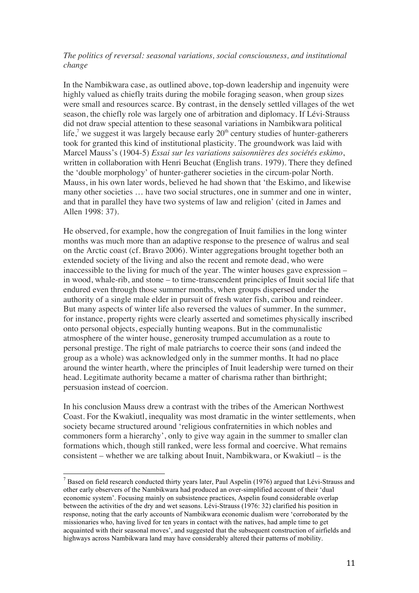## *The politics of reversal: seasonal variations, social consciousness, and institutional change*

In the Nambikwara case, as outlined above, top-down leadership and ingenuity were highly valued as chiefly traits during the mobile foraging season, when group sizes were small and resources scarce. By contrast, in the densely settled villages of the wet season, the chiefly role was largely one of arbitration and diplomacy. If Lévi-Strauss did not draw special attention to these seasonal variations in Nambikwara political life, $\theta$  we suggest it was largely because early  $20<sup>th</sup>$  century studies of hunter-gatherers took for granted this kind of institutional plasticity. The groundwork was laid with Marcel Mauss's (1904-5) *Essai sur les variations saisonnières des sociétés eskimo*, written in collaboration with Henri Beuchat (English trans. 1979). There they defined the 'double morphology' of hunter-gatherer societies in the circum-polar North. Mauss, in his own later words, believed he had shown that 'the Eskimo, and likewise many other societies … have two social structures, one in summer and one in winter, and that in parallel they have two systems of law and religion' (cited in James and Allen 1998: 37).

He observed, for example, how the congregation of Inuit families in the long winter months was much more than an adaptive response to the presence of walrus and seal on the Arctic coast (cf. Bravo 2006). Winter aggregations brought together both an extended society of the living and also the recent and remote dead, who were inaccessible to the living for much of the year. The winter houses gave expression – in wood, whale-rib, and stone – to time-transcendent principles of Inuit social life that endured even through those summer months, when groups dispersed under the authority of a single male elder in pursuit of fresh water fish, caribou and reindeer. But many aspects of winter life also reversed the values of summer. In the summer, for instance, property rights were clearly asserted and sometimes physically inscribed onto personal objects, especially hunting weapons. But in the communalistic atmosphere of the winter house, generosity trumped accumulation as a route to personal prestige. The right of male patriarchs to coerce their sons (and indeed the group as a whole) was acknowledged only in the summer months. It had no place around the winter hearth, where the principles of Inuit leadership were turned on their head. Legitimate authority became a matter of charisma rather than birthright; persuasion instead of coercion.

In his conclusion Mauss drew a contrast with the tribes of the American Northwest Coast. For the Kwakiutl, inequality was most dramatic in the winter settlements, when society became structured around 'religious confraternities in which nobles and commoners form a hierarchy', only to give way again in the summer to smaller clan formations which, though still ranked, were less formal and coercive. What remains consistent – whether we are talking about Inuit, Nambikwara, or Kwakiutl – is the

 $<sup>7</sup>$  Based on field research conducted thirty years later, Paul Aspelin (1976) argued that Lévi-Strauss and</sup> other early observers of the Nambikwara had produced an over-simplified account of their 'dual economic system'. Focusing mainly on subsistence practices, Aspelin found considerable overlap between the activities of the dry and wet seasons. Lévi-Strauss (1976: 32) clarified his position in response, noting that the early accounts of Nambikwara economic dualism were 'corroborated by the missionaries who, having lived for ten years in contact with the natives, had ample time to get acquainted with their seasonal moves', and suggested that the subsequent construction of airfields and highways across Nambikwara land may have considerably altered their patterns of mobility.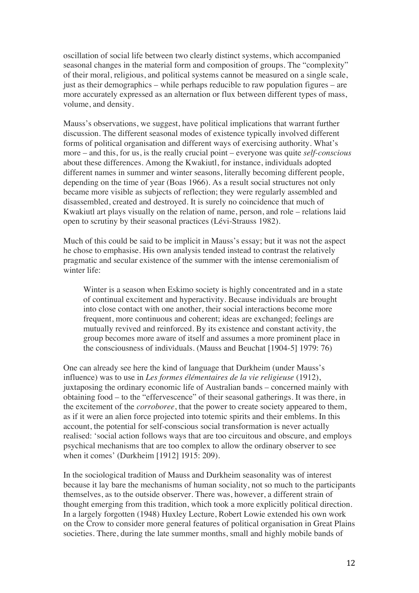oscillation of social life between two clearly distinct systems, which accompanied seasonal changes in the material form and composition of groups. The "complexity" of their moral, religious, and political systems cannot be measured on a single scale, just as their demographics – while perhaps reducible to raw population figures – are more accurately expressed as an alternation or flux between different types of mass, volume, and density.

Mauss's observations, we suggest, have political implications that warrant further discussion. The different seasonal modes of existence typically involved different forms of political organisation and different ways of exercising authority. What's more – and this, for us, is the really crucial point – everyone was quite *self-conscious* about these differences. Among the Kwakiutl, for instance, individuals adopted different names in summer and winter seasons, literally becoming different people, depending on the time of year (Boas 1966). As a result social structures not only became more visible as subjects of reflection; they were regularly assembled and disassembled, created and destroyed. It is surely no coincidence that much of Kwakiutl art plays visually on the relation of name, person, and role – relations laid open to scrutiny by their seasonal practices (Lévi-Strauss 1982).

Much of this could be said to be implicit in Mauss's essay; but it was not the aspect he chose to emphasise. His own analysis tended instead to contrast the relatively pragmatic and secular existence of the summer with the intense ceremonialism of winter life:

Winter is a season when Eskimo society is highly concentrated and in a state of continual excitement and hyperactivity. Because individuals are brought into close contact with one another, their social interactions become more frequent, more continuous and coherent; ideas are exchanged; feelings are mutually revived and reinforced. By its existence and constant activity, the group becomes more aware of itself and assumes a more prominent place in the consciousness of individuals. (Mauss and Beuchat [1904-5] 1979: 76)

One can already see here the kind of language that Durkheim (under Mauss's influence) was to use in *Les formes élémentaires de la vie religieuse* (1912), juxtaposing the ordinary economic life of Australian bands – concerned mainly with obtaining food – to the "effervescence" of their seasonal gatherings. It was there, in the excitement of the *corroboree*, that the power to create society appeared to them, as if it were an alien force projected into totemic spirits and their emblems. In this account, the potential for self-conscious social transformation is never actually realised: 'social action follows ways that are too circuitous and obscure, and employs psychical mechanisms that are too complex to allow the ordinary observer to see when it comes' (Durkheim [1912] 1915: 209).

In the sociological tradition of Mauss and Durkheim seasonality was of interest because it lay bare the mechanisms of human sociality, not so much to the participants themselves, as to the outside observer. There was, however, a different strain of thought emerging from this tradition, which took a more explicitly political direction. In a largely forgotten (1948) Huxley Lecture, Robert Lowie extended his own work on the Crow to consider more general features of political organisation in Great Plains societies. There, during the late summer months, small and highly mobile bands of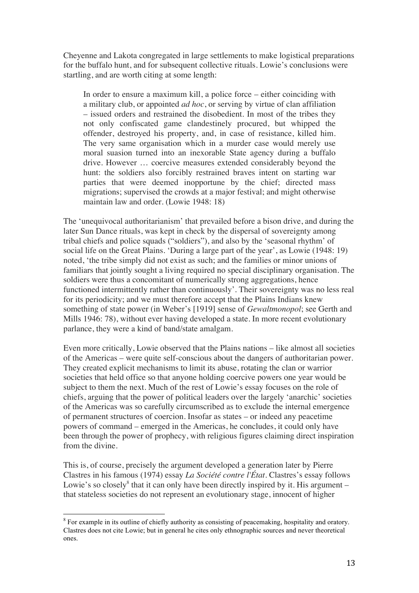Cheyenne and Lakota congregated in large settlements to make logistical preparations for the buffalo hunt, and for subsequent collective rituals. Lowie's conclusions were startling, and are worth citing at some length:

In order to ensure a maximum kill, a police force – either coinciding with a military club, or appointed *ad hoc*, or serving by virtue of clan affiliation – issued orders and restrained the disobedient. In most of the tribes they not only confiscated game clandestinely procured, but whipped the offender, destroyed his property, and, in case of resistance, killed him. The very same organisation which in a murder case would merely use moral suasion turned into an inexorable State agency during a buffalo drive. However … coercive measures extended considerably beyond the hunt: the soldiers also forcibly restrained braves intent on starting war parties that were deemed inopportune by the chief; directed mass migrations; supervised the crowds at a major festival; and might otherwise maintain law and order. (Lowie 1948: 18)

The 'unequivocal authoritarianism' that prevailed before a bison drive, and during the later Sun Dance rituals, was kept in check by the dispersal of sovereignty among tribal chiefs and police squads ("soldiers"), and also by the 'seasonal rhythm' of social life on the Great Plains. 'During a large part of the year', as Lowie (1948: 19) noted, 'the tribe simply did not exist as such; and the families or minor unions of familiars that jointly sought a living required no special disciplinary organisation. The soldiers were thus a concomitant of numerically strong aggregations, hence functioned intermittently rather than continuously'. Their sovereignty was no less real for its periodicity; and we must therefore accept that the Plains Indians knew something of state power (in Weber's [1919] sense of *Gewaltmonopol*; see Gerth and Mills 1946: 78), without ever having developed a state. In more recent evolutionary parlance, they were a kind of band/state amalgam.

Even more critically, Lowie observed that the Plains nations – like almost all societies of the Americas – were quite self-conscious about the dangers of authoritarian power. They created explicit mechanisms to limit its abuse, rotating the clan or warrior societies that held office so that anyone holding coercive powers one year would be subject to them the next. Much of the rest of Lowie's essay focuses on the role of chiefs, arguing that the power of political leaders over the largely 'anarchic' societies of the Americas was so carefully circumscribed as to exclude the internal emergence of permanent structures of coercion. Insofar as states – or indeed any peacetime powers of command – emerged in the Americas, he concludes, it could only have been through the power of prophecy, with religious figures claiming direct inspiration from the divine.

This is, of course, precisely the argument developed a generation later by Pierre Clastres in his famous (1974) essay *La Société contre l'État*. Clastres's essay follows Lowie's so closely<sup>8</sup> that it can only have been directly inspired by it. His argument – that stateless societies do not represent an evolutionary stage, innocent of higher

 <sup>8</sup> For example in its outline of chiefly authority as consisting of peacemaking, hospitality and oratory. Clastres does not cite Lowie; but in general he cites only ethnographic sources and never theoretical ones.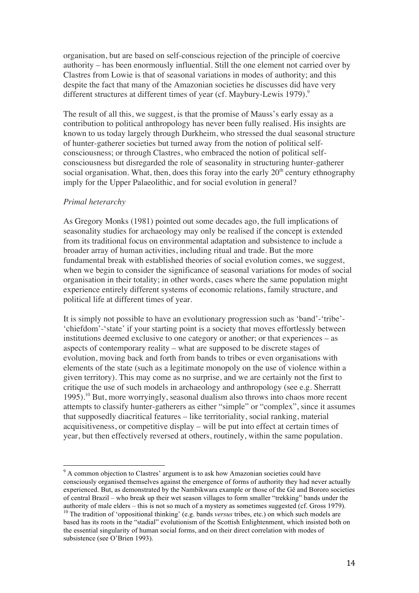organisation, but are based on self-conscious rejection of the principle of coercive authority – has been enormously influential. Still the one element not carried over by Clastres from Lowie is that of seasonal variations in modes of authority; and this despite the fact that many of the Amazonian societies he discusses did have very different structures at different times of year (cf. Maybury-Lewis 1979).<sup>9</sup>

The result of all this, we suggest, is that the promise of Mauss's early essay as a contribution to political anthropology has never been fully realised. His insights are known to us today largely through Durkheim, who stressed the dual seasonal structure of hunter-gatherer societies but turned away from the notion of political selfconsciousness; or through Clastres, who embraced the notion of political selfconsciousness but disregarded the role of seasonality in structuring hunter-gatherer social organisation. What, then, does this foray into the early  $20<sup>th</sup>$  century ethnography imply for the Upper Palaeolithic, and for social evolution in general?

## *Primal heterarchy*

As Gregory Monks (1981) pointed out some decades ago, the full implications of seasonality studies for archaeology may only be realised if the concept is extended from its traditional focus on environmental adaptation and subsistence to include a broader array of human activities, including ritual and trade. But the more fundamental break with established theories of social evolution comes, we suggest, when we begin to consider the significance of seasonal variations for modes of social organisation in their totality; in other words, cases where the same population might experience entirely different systems of economic relations, family structure, and political life at different times of year.

It is simply not possible to have an evolutionary progression such as 'band'-'tribe'- 'chiefdom'-'state' if your starting point is a society that moves effortlessly between institutions deemed exclusive to one category or another; or that experiences – as aspects of contemporary reality – what are supposed to be discrete stages of evolution, moving back and forth from bands to tribes or even organisations with elements of the state (such as a legitimate monopoly on the use of violence within a given territory). This may come as no surprise, and we are certainly not the first to critique the use of such models in archaeology and anthropology (see e.g. Sherratt 1995).10 But, more worryingly, seasonal dualism also throws into chaos more recent attempts to classify hunter-gatherers as either "simple" or "complex", since it assumes that supposedly diacritical features – like territoriality, social ranking, material acquisitiveness, or competitive display – will be put into effect at certain times of year, but then effectively reversed at others, routinely, within the same population.

<sup>&</sup>lt;sup>9</sup> A common objection to Clastres' argument is to ask how Amazonian societies could have consciously organised themselves against the emergence of forms of authority they had never actually experienced. But, as demonstrated by the Nambikwara example or those of the Gê and Bororo societies of central Brazil – who break up their wet season villages to form smaller "trekking" bands under the authority of male elders – this is not so much of a mystery as sometimes suggested (cf. Gross 1979).<br><sup>10</sup> The tradition of 'oppositional thinking' (e.g. bands *versus* tribes, etc.) on which such models are

based has its roots in the "stadial" evolutionism of the Scottish Enlightenment, which insisted both on the essential singularity of human social forms, and on their direct correlation with modes of subsistence (see O'Brien 1993).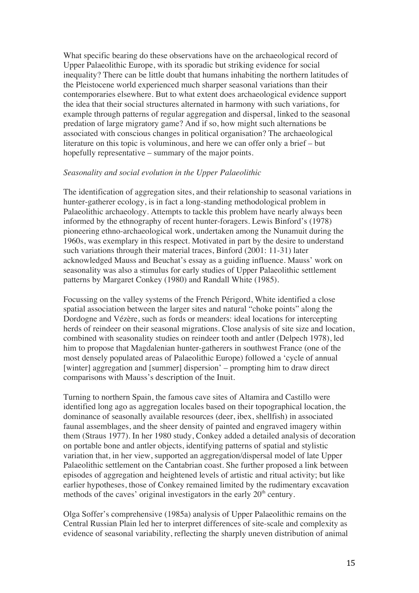What specific bearing do these observations have on the archaeological record of Upper Palaeolithic Europe, with its sporadic but striking evidence for social inequality? There can be little doubt that humans inhabiting the northern latitudes of the Pleistocene world experienced much sharper seasonal variations than their contemporaries elsewhere. But to what extent does archaeological evidence support the idea that their social structures alternated in harmony with such variations, for example through patterns of regular aggregation and dispersal, linked to the seasonal predation of large migratory game? And if so, how might such alternations be associated with conscious changes in political organisation? The archaeological literature on this topic is voluminous, and here we can offer only a brief – but hopefully representative – summary of the major points.

### *Seasonality and social evolution in the Upper Palaeolithic*

The identification of aggregation sites, and their relationship to seasonal variations in hunter-gatherer ecology, is in fact a long-standing methodological problem in Palaeolithic archaeology. Attempts to tackle this problem have nearly always been informed by the ethnography of recent hunter-foragers. Lewis Binford's (1978) pioneering ethno-archaeological work, undertaken among the Nunamuit during the 1960s, was exemplary in this respect. Motivated in part by the desire to understand such variations through their material traces, Binford (2001: 11-31) later acknowledged Mauss and Beuchat's essay as a guiding influence. Mauss' work on seasonality was also a stimulus for early studies of Upper Palaeolithic settlement patterns by Margaret Conkey (1980) and Randall White (1985).

Focussing on the valley systems of the French Périgord, White identified a close spatial association between the larger sites and natural "choke points" along the Dordogne and Vézère, such as fords or meanders: ideal locations for intercepting herds of reindeer on their seasonal migrations. Close analysis of site size and location, combined with seasonality studies on reindeer tooth and antler (Delpech 1978), led him to propose that Magdalenian hunter-gatherers in southwest France (one of the most densely populated areas of Palaeolithic Europe) followed a 'cycle of annual [winter] aggregation and [summer] dispersion' – prompting him to draw direct comparisons with Mauss's description of the Inuit.

Turning to northern Spain, the famous cave sites of Altamira and Castillo were identified long ago as aggregation locales based on their topographical location, the dominance of seasonally available resources (deer, ibex, shellfish) in associated faunal assemblages, and the sheer density of painted and engraved imagery within them (Straus 1977). In her 1980 study, Conkey added a detailed analysis of decoration on portable bone and antler objects, identifying patterns of spatial and stylistic variation that, in her view, supported an aggregation/dispersal model of late Upper Palaeolithic settlement on the Cantabrian coast. She further proposed a link between episodes of aggregation and heightened levels of artistic and ritual activity; but like earlier hypotheses, those of Conkey remained limited by the rudimentary excavation methods of the caves' original investigators in the early  $20<sup>th</sup>$  century.

Olga Soffer's comprehensive (1985a) analysis of Upper Palaeolithic remains on the Central Russian Plain led her to interpret differences of site-scale and complexity as evidence of seasonal variability, reflecting the sharply uneven distribution of animal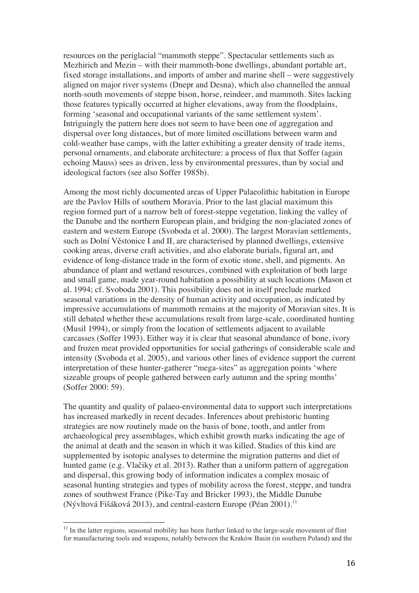resources on the periglacial "mammoth steppe". Spectacular settlements such as Mezhirich and Mezin – with their mammoth-bone dwellings, abundant portable art, fixed storage installations, and imports of amber and marine shell – were suggestively aligned on major river systems (Dnepr and Desna), which also channelled the annual north-south movements of steppe bison, horse, reindeer, and mammoth. Sites lacking those features typically occurred at higher elevations, away from the floodplains, forming 'seasonal and occupational variants of the same settlement system'. Intriguingly the pattern here does not seem to have been one of aggregation and dispersal over long distances, but of more limited oscillations between warm and cold-weather base camps, with the latter exhibiting a greater density of trade items, personal ornaments, and elaborate architecture: a process of flux that Soffer (again echoing Mauss) sees as driven, less by environmental pressures, than by social and ideological factors (see also Soffer 1985b).

Among the most richly documented areas of Upper Palaeolithic habitation in Europe are the Pavlov Hills of southern Moravia. Prior to the last glacial maximum this region formed part of a narrow belt of forest-steppe vegetation, linking the valley of the Danube and the northern European plain, and bridging the non-glaciated zones of eastern and western Europe (Svoboda et al. 2000). The largest Moravian settlements, such as Dolní Věstonice I and II, are characterised by planned dwellings, extensive cooking areas, diverse craft activities, and also elaborate burials, figural art, and evidence of long-distance trade in the form of exotic stone, shell, and pigments. An abundance of plant and wetland resources, combined with exploitation of both large and small game, made year-round habitation a possibility at such locations (Mason et al. 1994; cf. Svoboda 2001). This possibility does not in itself preclude marked seasonal variations in the density of human activity and occupation, as indicated by impressive accumulations of mammoth remains at the majority of Moravian sites. It is still debated whether these accumulations result from large-scale, coordinated hunting (Musil 1994), or simply from the location of settlements adjacent to available carcasses (Soffer 1993). Either way it is clear that seasonal abundance of bone, ivory and frozen meat provided opportunities for social gatherings of considerable scale and intensity (Svoboda et al. 2005), and various other lines of evidence support the current interpretation of these hunter-gatherer "mega-sites" as aggregation points 'where sizeable groups of people gathered between early autumn and the spring months' (Soffer 2000: 59).

The quantity and quality of palaeo-environmental data to support such interpretations has increased markedly in recent decades. Inferences about prehistoric hunting strategies are now routinely made on the basis of bone, tooth, and antler from archaeological prey assemblages, which exhibit growth marks indicating the age of the animal at death and the season in which it was killed. Studies of this kind are supplemented by isotopic analyses to determine the migration patterns and diet of hunted game (e.g. Vlačiky et al. 2013). Rather than a uniform pattern of aggregation and dispersal, this growing body of information indicates a complex mosaic of seasonal hunting strategies and types of mobility across the forest, steppe, and tundra zones of southwest France (Pike-Tay and Bricker 1993), the Middle Danube (Nývltová Fišáková 2013), and central-eastern Europe (Péan 2001).<sup>11</sup>

<sup>&</sup>lt;sup>11</sup> In the latter regions, seasonal mobility has been further linked to the large-scale movement of flint for manufacturing tools and weapons, notably between the Kraków Basin (in southern Poland) and the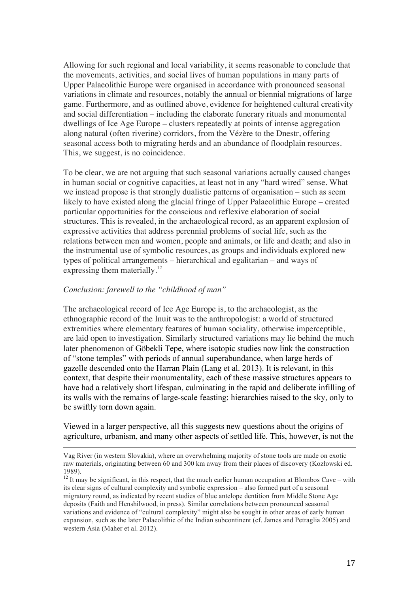Allowing for such regional and local variability, it seems reasonable to conclude that the movements, activities, and social lives of human populations in many parts of Upper Palaeolithic Europe were organised in accordance with pronounced seasonal variations in climate and resources, notably the annual or biennial migrations of large game. Furthermore, and as outlined above, evidence for heightened cultural creativity and social differentiation – including the elaborate funerary rituals and monumental dwellings of Ice Age Europe – clusters repeatedly at points of intense aggregation along natural (often riverine) corridors, from the Vézère to the Dnestr, offering seasonal access both to migrating herds and an abundance of floodplain resources. This, we suggest, is no coincidence.

To be clear, we are not arguing that such seasonal variations actually caused changes in human social or cognitive capacities, at least not in any "hard wired" sense. What we instead propose is that strongly dualistic patterns of organisation – such as seem likely to have existed along the glacial fringe of Upper Palaeolithic Europe – created particular opportunities for the conscious and reflexive elaboration of social structures. This is revealed, in the archaeological record, as an apparent explosion of expressive activities that address perennial problems of social life, such as the relations between men and women, people and animals, or life and death; and also in the instrumental use of symbolic resources, as groups and individuals explored new types of political arrangements – hierarchical and egalitarian – and ways of expressing them materially. $12$ 

## *Conclusion: farewell to the "childhood of man"*

The archaeological record of Ice Age Europe is, to the archaeologist, as the ethnographic record of the Inuit was to the anthropologist: a world of structured extremities where elementary features of human sociality, otherwise imperceptible, are laid open to investigation. Similarly structured variations may lie behind the much later phenomenon of Göbekli Tepe, where isotopic studies now link the construction of "stone temples" with periods of annual superabundance, when large herds of gazelle descended onto the Harran Plain (Lang et al. 2013). It is relevant, in this context, that despite their monumentality, each of these massive structures appears to have had a relatively short lifespan, culminating in the rapid and deliberate infilling of its walls with the remains of large-scale feasting: hierarchies raised to the sky, only to be swiftly torn down again.

Viewed in a larger perspective, all this suggests new questions about the origins of agriculture, urbanism, and many other aspects of settled life. This, however, is not the

<u> 1989 - Andrea Santa Alemania, poeta esperanto-se especial de la propia de la propia de la propia de la propia</u>

Vag River (in western Slovakia), where an overwhelming majority of stone tools are made on exotic raw materials, originating between 60 and 300 km away from their places of discovery (Kozłowski ed. 1989).

 $12$  It may be significant, in this respect, that the much earlier human occupation at Blombos Cave – with its clear signs of cultural complexity and symbolic expression – also formed part of a seasonal migratory round, as indicated by recent studies of blue antelope dentition from Middle Stone Age deposits (Faith and Henshilwood, in press). Similar correlations between pronounced seasonal variations and evidence of "cultural complexity" might also be sought in other areas of early human expansion, such as the later Palaeolithic of the Indian subcontinent (cf. James and Petraglia 2005) and western Asia (Maher et al. 2012).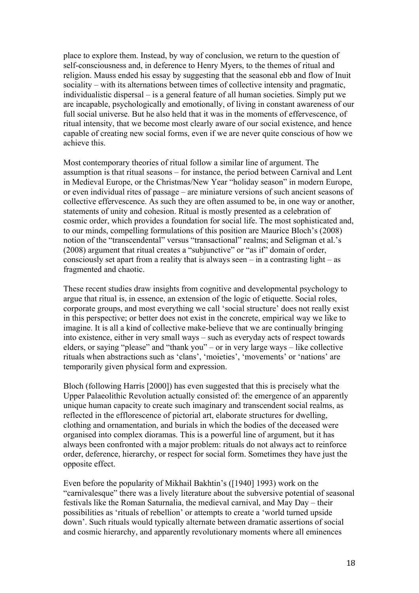place to explore them. Instead, by way of conclusion, we return to the question of self-consciousness and, in deference to Henry Myers, to the themes of ritual and religion. Mauss ended his essay by suggesting that the seasonal ebb and flow of Inuit sociality – with its alternations between times of collective intensity and pragmatic, individualistic dispersal – is a general feature of all human societies. Simply put we are incapable, psychologically and emotionally, of living in constant awareness of our full social universe. But he also held that it was in the moments of effervescence, of ritual intensity, that we become most clearly aware of our social existence, and hence capable of creating new social forms, even if we are never quite conscious of how we achieve this.

Most contemporary theories of ritual follow a similar line of argument. The assumption is that ritual seasons – for instance, the period between Carnival and Lent in Medieval Europe, or the Christmas/New Year "holiday season" in modern Europe, or even individual rites of passage – are miniature versions of such ancient seasons of collective effervescence. As such they are often assumed to be, in one way or another, statements of unity and cohesion. Ritual is mostly presented as a celebration of cosmic order, which provides a foundation for social life. The most sophisticated and, to our minds, compelling formulations of this position are Maurice Bloch's (2008) notion of the "transcendental" versus "transactional" realms; and Seligman et al.'s (2008) argument that ritual creates a "subjunctive" or "as if" domain of order, consciously set apart from a reality that is always seen  $-$  in a contrasting light  $-$  as fragmented and chaotic.

These recent studies draw insights from cognitive and developmental psychology to argue that ritual is, in essence, an extension of the logic of etiquette. Social roles, corporate groups, and most everything we call 'social structure' does not really exist in this perspective; or better does not exist in the concrete, empirical way we like to imagine. It is all a kind of collective make-believe that we are continually bringing into existence, either in very small ways – such as everyday acts of respect towards elders, or saying "please" and "thank you" – or in very large ways – like collective rituals when abstractions such as 'clans', 'moieties', 'movements' or 'nations' are temporarily given physical form and expression.

Bloch (following Harris [2000]) has even suggested that this is precisely what the Upper Palaeolithic Revolution actually consisted of: the emergence of an apparently unique human capacity to create such imaginary and transcendent social realms, as reflected in the efflorescence of pictorial art, elaborate structures for dwelling, clothing and ornamentation, and burials in which the bodies of the deceased were organised into complex dioramas. This is a powerful line of argument, but it has always been confronted with a major problem: rituals do not always act to reinforce order, deference, hierarchy, or respect for social form. Sometimes they have just the opposite effect.

Even before the popularity of Mikhail Bakhtin's ([1940] 1993) work on the "carnivalesque" there was a lively literature about the subversive potential of seasonal festivals like the Roman Saturnalia, the medieval carnival, and May Day – their possibilities as 'rituals of rebellion' or attempts to create a 'world turned upside down'. Such rituals would typically alternate between dramatic assertions of social and cosmic hierarchy, and apparently revolutionary moments where all eminences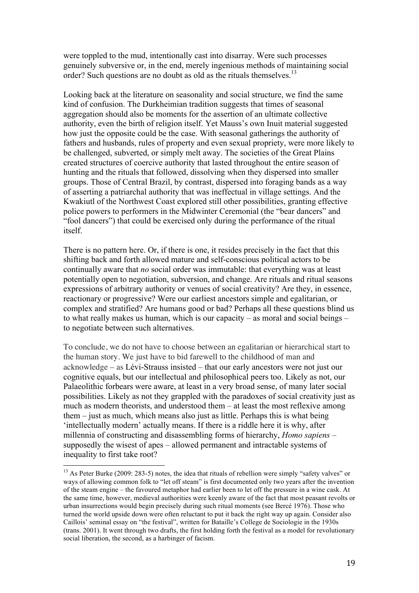were toppled to the mud, intentionally cast into disarray. Were such processes genuinely subversive or, in the end, merely ingenious methods of maintaining social order? Such questions are no doubt as old as the rituals themselves.<sup>13</sup>

Looking back at the literature on seasonality and social structure, we find the same kind of confusion. The Durkheimian tradition suggests that times of seasonal aggregation should also be moments for the assertion of an ultimate collective authority, even the birth of religion itself. Yet Mauss's own Inuit material suggested how just the opposite could be the case. With seasonal gatherings the authority of fathers and husbands, rules of property and even sexual propriety, were more likely to be challenged, subverted, or simply melt away. The societies of the Great Plains created structures of coercive authority that lasted throughout the entire season of hunting and the rituals that followed, dissolving when they dispersed into smaller groups. Those of Central Brazil, by contrast, dispersed into foraging bands as a way of asserting a patriarchal authority that was ineffectual in village settings. And the Kwakiutl of the Northwest Coast explored still other possibilities, granting effective police powers to performers in the Midwinter Ceremonial (the "bear dancers" and "fool dancers") that could be exercised only during the performance of the ritual itself.

There is no pattern here. Or, if there is one, it resides precisely in the fact that this shifting back and forth allowed mature and self-conscious political actors to be continually aware that *no* social order was immutable: that everything was at least potentially open to negotiation, subversion, and change. Are rituals and ritual seasons expressions of arbitrary authority or venues of social creativity? Are they, in essence, reactionary or progressive? Were our earliest ancestors simple and egalitarian, or complex and stratified? Are humans good or bad? Perhaps all these questions blind us to what really makes us human, which is our capacity – as moral and social beings – to negotiate between such alternatives.

To conclude, we do not have to choose between an egalitarian or hierarchical start to the human story. We just have to bid farewell to the childhood of man and acknowledge – as Lévi-Strauss insisted – that our early ancestors were not just our cognitive equals, but our intellectual and philosophical peers too. Likely as not, our Palaeolithic forbears were aware, at least in a very broad sense, of many later social possibilities. Likely as not they grappled with the paradoxes of social creativity just as much as modern theorists, and understood them – at least the most reflexive among them – just as much, which means also just as little. Perhaps this is what being 'intellectually modern' actually means. If there is a riddle here it is why, after millennia of constructing and disassembling forms of hierarchy, *Homo sapiens* – supposedly the wisest of apes – allowed permanent and intractable systems of inequality to first take root?

<sup>&</sup>lt;sup>13</sup> As Peter Burke (2009: 283-5) notes, the idea that rituals of rebellion were simply "safety valves" or ways of allowing common folk to "let off steam" is first documented only two years after the invention of the steam engine – the favoured metaphor had earlier been to let off the pressure in a wine cask. At the same time, however, medieval authorities were keenly aware of the fact that most peasant revolts or urban insurrections would begin precisely during such ritual moments (see Bercé 1976). Those who turned the world upside down were often reluctant to put it back the right way up again. Consider also Caillois' seminal essay on "the festival", written for Bataille's College de Sociologie in the 1930s (trans. 2001). It went through two drafts, the first holding forth the festival as a model for revolutionary social liberation, the second, as a harbinger of facism.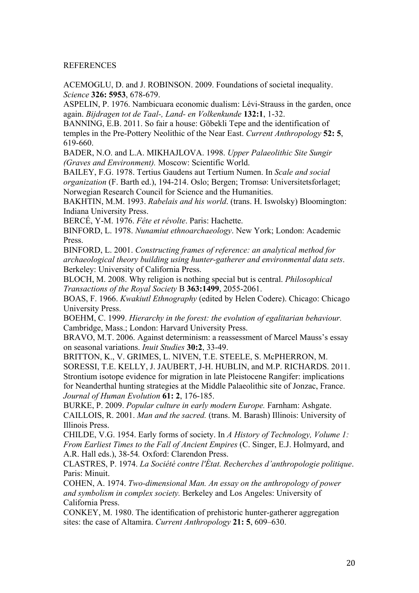## REFERENCES

ACEMOGLU, D. and J. ROBINSON. 2009. Foundations of societal inequality. *Science* **326: 5953**, 678-679.

ASPELIN, P. 1976. Nambicuara economic dualism: Lévi-Strauss in the garden, once again. *Bijdragen tot de Taal-, Land- en Volkenkunde* **132:1**, 1-32.

BANNING, E.B. 2011. So fair a house: Göbekli Tepe and the identification of temples in the Pre-Pottery Neolithic of the Near East. *Current Anthropology* **52: 5**, 619-660.

BADER, N.O. and L.A. MIKHAJLOVA. 1998. *Upper Palaeolithic Site Sungir (Graves and Environment).* Moscow: Scientific World.

BAILEY, F.G. 1978. Tertius Gaudens aut Tertium Numen. In *Scale and social organization* (F. Barth ed.), 194-214. Oslo; Bergen; Tromsø: Universitetsforlaget; Norwegian Research Council for Science and the Humanities.

BAKHTIN, M.M. 1993. *Rabelais and his world*. (trans. H. Iswolsky) Bloomington: Indiana University Press.

BERCÉ, Y-M. 1976. *Fête et révolte*. Paris: Hachette.

BINFORD, L. 1978. *Nunamiut ethnoarchaeology*. New York; London: Academic Press.

BINFORD, L. 2001. *Constructing frames of reference: an analytical method for archaeological theory building using hunter-gatherer and environmental data sets*. Berkeley: University of California Press.

BLOCH, M. 2008. Why religion is nothing special but is central. *Philosophical Transactions of the Royal Society* B **363:1499**, 2055-2061.

BOAS, F. 1966. *Kwakiutl Ethnography* (edited by Helen Codere). Chicago: Chicago University Press.

BOEHM, C. 1999. *Hierarchy in the forest: the evolution of egalitarian behaviour.*  Cambridge, Mass.; London: Harvard University Press.

BRAVO, M.T. 2006. Against determinism: a reassessment of Marcel Mauss's essay on seasonal variations. *Inuit Studies* **30:2**, 33-49.

BRITTON, K., V. GRIMES, L. NIVEN, T.E. STEELE, S. McPHERRON, M. SORESSI, T.E. KELLY, J. JAUBERT, J-H. HUBLIN, and M.P. RICHARDS. 2011. Strontium isotope evidence for migration in late Pleistocene Rangifer: implications for Neanderthal hunting strategies at the Middle Palaeolithic site of Jonzac, France. *Journal of Human Evolution* **61: 2**, 176-185.

BURKE, P. 2009. *Popular culture in early modern Europe.* Farnham: Ashgate. CAILLOIS, R. 2001. *Man and the sacred.* (trans. M. Barash) Illinois: University of Illinois Press.

CHILDE, V.G. 1954. Early forms of society. In *A History of Technology, Volume 1: From Earliest Times to the Fall of Ancient Empires* (C. Singer, E.J. Holmyard, and A.R. Hall eds.), 38-54*.* Oxford: Clarendon Press.

CLASTRES, P. 1974. *La Société contre l'État. Recherches d'anthropologie politique*. Paris: Minuit.

COHEN, A. 1974. *Two-dimensional Man. An essay on the anthropology of power and symbolism in complex society.* Berkeley and Los Angeles: University of California Press.

CONKEY, M. 1980. The identification of prehistoric hunter-gatherer aggregation sites: the case of Altamira. *Current Anthropology* **21: 5**, 609–630.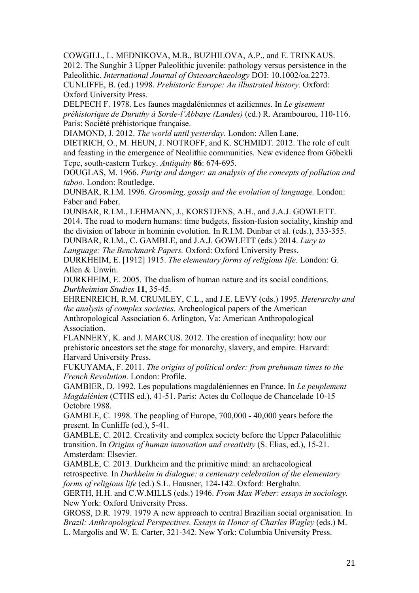COWGILL, L. MEDNIKOVA, M.B., BUZHILOVA, A.P., and E. TRINKAUS. 2012. The Sunghir 3 Upper Paleolithic juvenile: pathology versus persistence in the Paleolithic. *International Journal of Osteoarchaeology* DOI: 10.1002/oa.2273. CUNLIFFE, B. (ed.) 1998. *Prehistoric Europe: An illustrated history.* Oxford: Oxford University Press.

DELPECH F. 1978. Les faunes magdaléniennes et aziliennes. In *Le gisement préhistorique de Duruthy à Sorde-l'Abbaye (Landes)* (ed.) R. Arambourou, 110-116. Paris: Société préhistorique française.

DIAMOND, J. 2012. *The world until yesterday*. London: Allen Lane.

DIETRICH, O., M. HEUN, J. NOTROFF, and K. SCHMIDT. 2012. The role of cult and feasting in the emergence of Neolithic communities. New evidence from Göbekli Tepe, south-eastern Turkey. *Antiquity* **86**: 674-695.

DOUGLAS, M. 1966. *Purity and danger: an analysis of the concepts of pollution and taboo.* London: Routledge.

DUNBAR, R.I.M. 1996. *Grooming, gossip and the evolution of language.* London: Faber and Faber.

DUNBAR, R.I.M., LEHMANN, J., KORSTJENS, A.H., and J.A.J. GOWLETT. 2014. The road to modern humans: time budgets, fission-fusion sociality, kinship and the division of labour in hominin evolution. In R.I.M. Dunbar et al. (eds.), 333-355. DUNBAR, R.I.M., C. GAMBLE, and J.A.J. GOWLETT (eds.) 2014. *Lucy to* 

*Language: The Benchmark Papers.* Oxford: Oxford University Press.

DURKHEIM, E. [1912] 1915. *The elementary forms of religious life.* London: G. Allen & Unwin.

DURKHEIM, E. 2005. The dualism of human nature and its social conditions. *Durkheimian Studies* **11**, 35-45.

EHRENREICH, R.M. CRUMLEY, C.L., and J.E. LEVY (eds.) 1995. *Heterarchy and the analysis of complex societies*. Archeological papers of the American Anthropological Association 6. Arlington, Va: American Anthropological Association.

FLANNERY, K. and J. MARCUS. 2012. The creation of inequality: how our prehistoric ancestors set the stage for monarchy, slavery, and empire. Harvard: Harvard University Press.

FUKUYAMA, F. 2011. *The origins of political order: from prehuman times to the French Revolution.* London: Profile.

GAMBIER, D. 1992. Les populations magdaléniennes en France. In *Le peuplement Magdalénien* (CTHS ed.), 41-51. Paris: Actes du Colloque de Chancelade 10-15 Octobre 1988.

GAMBLE, C. 1998. The peopling of Europe, 700,000 - 40,000 years before the present. In Cunliffe (ed.), 5-41.

GAMBLE, C. 2012. Creativity and complex society before the Upper Palaeolithic transition. In *Origins of human innovation and creativity* (S. Elias, ed.), 15-21. Amsterdam: Elsevier.

GAMBLE, C. 2013. Durkheim and the primitive mind: an archaeological retrospective. In *Durkheim in dialogue: a centenary celebration of the elementary forms of religious life* (ed.) S.L. Hausner, 124-142. Oxford: Berghahn.

GERTH, H.H. and C.W.MILLS (eds.) 1946. *From Max Weber: essays in sociology.*  New York: Oxford University Press.

GROSS, D.R. 1979. 1979 A new approach to central Brazilian social organisation. In *Brazil: Anthropological Perspectives. Essays in Honor of Charles Wagley* (eds.) M. L. Margolis and W. E. Carter, 321-342. New York: Columbia University Press.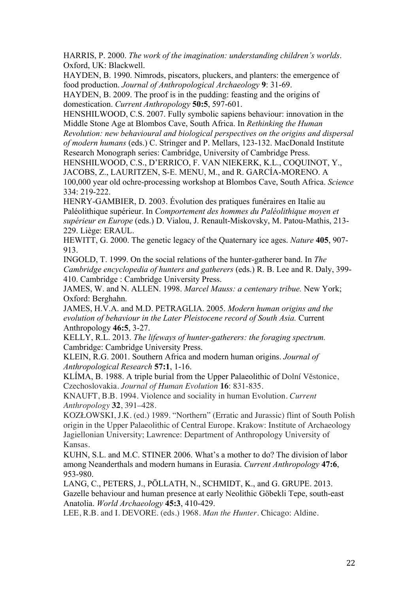HARRIS, P. 2000. *The work of the imagination: understanding children's worlds*. Oxford, UK: Blackwell.

HAYDEN, B. 1990. Nimrods, piscators, pluckers, and planters: the emergence of food production. *Journal of Anthropological Archaeology* **9**: 31-69.

HAYDEN, B. 2009. The proof is in the pudding: feasting and the origins of domestication. *Current Anthropology* **50:5**, 597-601.

HENSHILWOOD, C.S. 2007. Fully symbolic sapiens behaviour: innovation in the Middle Stone Age at Blombos Cave, South Africa. In *Rethinking the Human Revolution: new behavioural and biological perspectives on the origins and dispersal of modern humans* (eds.) C. Stringer and P. Mellars, 123-132. MacDonald Institute Research Monograph series: Cambridge, University of Cambridge Press.

HENSHILWOOD, C.S., D'ERRICO, F. VAN NIEKERK, K.L., COQUINOT, Y., JACOBS, Z., LAURITZEN, S-E. MENU, M., and R. GARCÍA-MORENO. A 100,000 year old ochre-processing workshop at Blombos Cave, South Africa. *Science* 334: 219-222.

HENRY-GAMBIER, D. 2003. Évolution des pratiques funéraires en Italie au Paléolithique supérieur. In *Comportement des hommes du Paléolithique moyen et supérieur en Europe* (eds.) D. Vialou, J. Renault-Miskovsky, M. Patou-Mathis, 213- 229. Liège: ERAUL.

HEWITT, G. 2000. The genetic legacy of the Quaternary ice ages. *Nature* **405**, 907- 913.

INGOLD, T. 1999. On the social relations of the hunter-gatherer band. In *The Cambridge encyclopedia of hunters and gatherers* (eds.) R. B. Lee and R. Daly, 399- 410. Cambridge : Cambridge University Press.

JAMES, W. and N. ALLEN. 1998. *Marcel Mauss: a centenary tribue.* New York; Oxford: Berghahn.

JAMES, H.V.A. and M.D. PETRAGLIA. 2005. *Modern human origins and the evolution of behaviour in the Later Pleistocene record of South Asia.* Current Anthropology **46:5**, 3-27.

KELLY, R.L. 2013. *The lifeways of hunter-gatherers: the foraging spectrum.*  Cambridge: Cambridge University Press.

KLEIN, R.G. 2001. Southern Africa and modern human origins. *Journal of Anthropological Research* **57:1**, 1-16.

KLÍMA, B. 1988. A triple burial from the Upper Palaeolithic of Dolní Věstonice, Czechoslovakia. *Journal of Human Evolution* **16**: 831-835.

KNAUFT, B.B. 1994. Violence and sociality in human Evolution. *Current Anthropology* **32**, 391–428.

KOZŁOWSKI, J.K. (ed.) 1989. "Northern" (Erratic and Jurassic) flint of South Polish origin in the Upper Palaeolithic of Central Europe. Krakow: Institute of Archaeology Jagiellonian University; Lawrence: Department of Anthropology University of Kansas.

KUHN, S.L. and M.C. STINER 2006. What's a mother to do? The division of labor among Neanderthals and modern humans in Eurasia. *Current Anthropology* **47:6**, 953-980.

LANG, C., PETERS, J., PÖLLATH, N., SCHMIDT, K., and G. GRUPE. 2013. Gazelle behaviour and human presence at early Neolithic Göbekli Tepe, south-east Anatolia. *World Archaeology* **45:3**, 410-429.

LEE, R.B. and I. DEVORE. (eds.) 1968. *Man the Hunter.* Chicago: Aldine.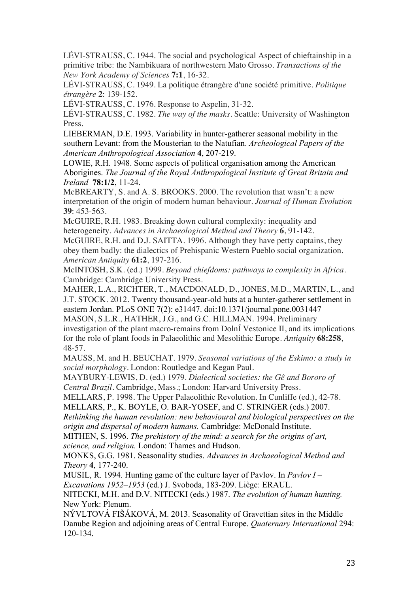LÉVI-STRAUSS, C. 1944. The social and psychological Aspect of chieftainship in a primitive tribe: the Nambikuara of northwestern Mato Grosso. *Transactions of the New York Academy of Sciences* **7:1**, 16-32.

LÉVI-STRAUSS, C. 1949. La politique étrangère d'une société primitive. *Politique étrangère* **2**: 139-152.

LÉVI-STRAUSS, C. 1976. Response to Aspelin, 31-32.

LÉVI-STRAUSS, C. 1982. *The way of the masks.* Seattle: University of Washington Press.

LIEBERMAN, D.E. 1993. Variability in hunter-gatherer seasonal mobility in the southern Levant: from the Mousterian to the Natufian. *Archeological Papers of the American Anthropological Association* **4**, 207-219.

LOWIE, R.H. 1948. Some aspects of political organisation among the American Aborigines. *The Journal of the Royal Anthropological Institute of Great Britain and Ireland* **78:1/2**, 11-24.

McBREARTY, S. and A. S. BROOKS. 2000. The revolution that wasn't: a new interpretation of the origin of modern human behaviour. *Journal of Human Evolution*  **39**: 453-563.

McGUIRE, R.H. 1983. Breaking down cultural complexity: inequality and heterogeneity. *Advances in Archaeological Method and Theory* **6**, 91-142.

McGUIRE, R.H. and D.J. SAITTA. 1996. Although they have petty captains, they obey them badly: the dialectics of Prehispanic Western Pueblo social organization. *American Antiquity* **61:2**, 197-216.

McINTOSH, S.K. (ed.) 1999. *Beyond chiefdoms: pathways to complexity in Africa.*  Cambridge: Cambridge University Press.

MAHER, L.A., RICHTER, T., MACDONALD, D., JONES, M.D., MARTIN, L., and J.T. STOCK. 2012. Twenty thousand-year-old huts at a hunter-gatherer settlement in eastern Jordan. PLoS ONE 7(2): e31447. doi:10.1371/journal.pone.0031447 MASON, S.L.R., HATHER, J.G., and G.C. HILLMAN. 1994. Preliminary investigation of the plant macro-remains from DolnÍ Vestonice II, and its implications for the role of plant foods in Palaeolithic and Mesolithic Europe. *Antiquity* **68:258**, 48-57.

MAUSS, M. and H. BEUCHAT. 1979. *Seasonal variations of the Eskimo: a study in social morphology.* London: Routledge and Kegan Paul.

MAYBURY-LEWIS, D. (ed.) 1979. *Dialectical societies: the Gê and Bororo of Central Brazil.* Cambridge, Mass.; London: Harvard University Press.

MELLARS, P. 1998. The Upper Palaeolithic Revolution. In Cunliffe (ed.), 42-78. MELLARS, P., K. BOYLE, O. BAR-YOSEF, and C. STRINGER (eds.) 2007.

*Rethinking the human revolution: new behavioural and biological perspectives on the origin and dispersal of modern humans.* Cambridge: McDonald Institute.

MITHEN, S. 1996. *The prehistory of the mind: a search for the origins of art, science, and religion.* London: Thames and Hudson.

MONKS, G.G. 1981. Seasonality studies. *Advances in Archaeological Method and Theory* **4**, 177-240.

MUSIL, R. 1994. Hunting game of the culture layer of Pavlov. In *Pavlov I – Excavations 1952–1953* (ed.) J. Svoboda, 183-209. Liège: ERAUL.

NITECKI, M.H. and D.V. NITECKI (eds.) 1987. *The evolution of human hunting.*  New York: Plenum.

NÝVLTOVÁ FIŠÁKOVÁ, M. 2013. Seasonality of Gravettian sites in the Middle Danube Region and adjoining areas of Central Europe. *Quaternary International* 294: 120-134.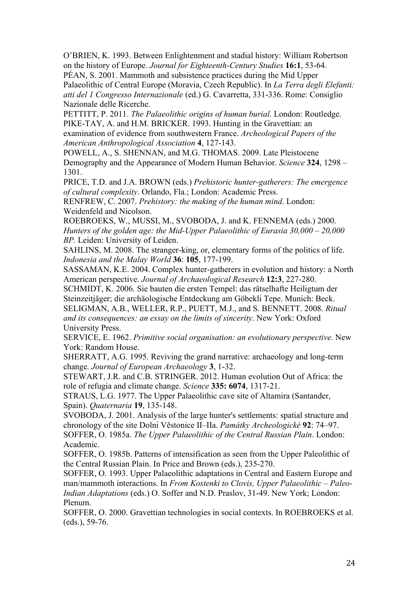O'BRIEN, K. 1993. Between Enlightenment and stadial history: William Robertson on the history of Europe. *Journal for Eighteenth-Century Studies* **16:1**, 53-64. PÉAN, S. 2001. Mammoth and subsistence practices during the Mid Upper Palaeolithic of Central Europe (Moravia, Czech Republic). In *La Terra degli Elefanti: atti del 1 Congresso Internazionale* (ed.) G. Cavarretta, 331-336. Rome: Consiglio

Nazionale delle Ricerche. PETTITT, P. 2011. *The Palaeolithic origins of human burial.* London: Routledge. PIKE-TAY, A. and H.M. BRICKER. 1993. Hunting in the Gravettian: an examination of evidence from southwestern France. *Archeological Papers of the American Anthropological Association* **4**, 127-143.

POWELL, A., S. SHENNAN, and M.G. THOMAS. 2009. Late Pleistocene Demography and the Appearance of Modern Human Behavior. *Science* **324**, 1298 – 1301.

PRICE, T.D. and J.A. BROWN (eds.) *Prehistoric hunter-gatherers: The emergence of cultural complexity*. Orlando, Fla.; London: Academic Press.

RENFREW, C. 2007. *Prehistory: the making of the human mind*. London: Weidenfeld and Nicolson.

ROEBROEKS, W., MUSSI, M., SVOBODA, J. and K. FENNEMA (eds.) 2000. *Hunters of the golden age: the Mid-Upper Palaeolithic of Eurasia 30,000 – 20,000 BP.* Leiden: University of Leiden.

SAHLINS, M. 2008. The stranger-king, or, elementary forms of the politics of life. *Indonesia and the Malay World* **36**: **105**, 177-199.

SASSAMAN, K.E. 2004. Complex hunter-gatherers in evolution and history: a North American perspective. *Journal of Archaeological Research* **12:3**, 227-280.

SCHMIDT, K. 2006. Sie bauten die ersten Tempel: das rätselhafte Heiligtum der Steinzeitjäger; die archäologische Entdeckung am Göbekli Tepe. Munich: Beck.

SELIGMAN, A.B., WELLER, R.P., PUETT, M.J., and S. BENNETT. 2008. *Ritual and its consequences: an essay on the limits of sincerity.* New York: Oxford University Press.

SERVICE, E. 1962. *Primitive social organisation: an evolutionary perspective.* New York: Random House.

SHERRATT, A.G. 1995. Reviving the grand narrative: archaeology and long-term change*. Journal of European Archaeology* **3**, 1-32.

STEWART, J.R. and C.B. STRINGER. 2012. Human evolution Out of Africa: the role of refugia and climate change. *Science* **335: 6074**, 1317-21.

STRAUS, L.G. 1977. The Upper Palaeolithic cave site of Altamira (Santander, Spain). *Quaternaria* **19**, 135-148.

SVOBODA, J. 2001. Analysis of the large hunter's settlements: spatial structure and chronology of the site Dolnı́ Věstonice II–IIa. *Památky Archeologické* **92**: 74–97. SOFFER, O. 1985a. *The Upper Palaeolithic of the Central Russian Plain*. London: Academic.

SOFFER, O. 1985b. Patterns of intensification as seen from the Upper Paleolithic of the Central Russian Plain. In Price and Brown (eds.), 235-270.

SOFFER, O. 1993. Upper Palaeolithic adaptations in Central and Eastern Europe and man/mammoth interactions. In *From Kostenki to Clovis, Upper Palaeolithic – Paleo-Indian Adaptations* (eds.) O. Soffer and N.D. Praslov, 31-49. New York; London: Plenum.

SOFFER, O. 2000. Gravettian technologies in social contexts. In ROEBROEKS et al. (eds.), 59-76.